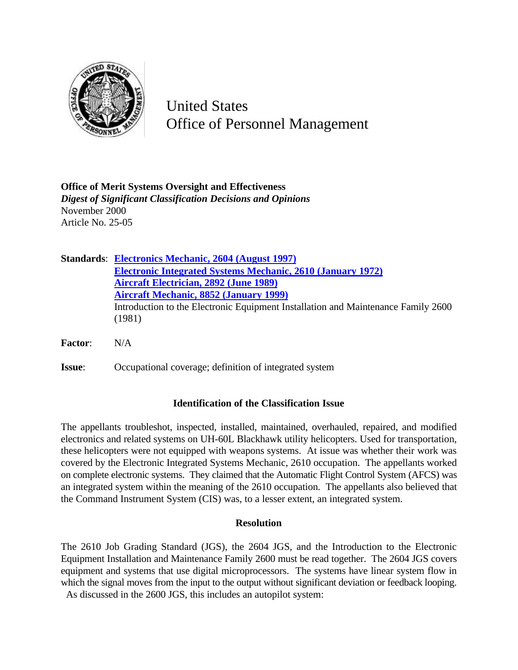

United States Office of Personnel Management

**Office of Merit Systems Oversight and Effectiveness** *Digest of Significant Classification Decisions and Opinions* November 2000 Article No. 25-05

|                | <b>Standards: Electronics Mechanic, 2604 (August 1997)</b>                        |
|----------------|-----------------------------------------------------------------------------------|
|                | <b>Electronic Integrated Systems Mechanic, 2610 (January 1972)</b>                |
|                | <b>Aircraft Electrician, 2892 (June 1989)</b>                                     |
|                | <b>Aircraft Mechanic, 8852 (January 1999)</b>                                     |
|                | Introduction to the Electronic Equipment Installation and Maintenance Family 2600 |
|                | (1981)                                                                            |
| <b>Factor:</b> | N/A                                                                               |
| <b>Issue:</b>  | Occupational coverage; definition of integrated system                            |

## **Identification of the Classification Issue**

The appellants troubleshot, inspected, installed, maintained, overhauled, repaired, and modified electronics and related systems on UH-60L Blackhawk utility helicopters. Used for transportation, these helicopters were not equipped with weapons systems. At issue was whether their work was covered by the Electronic Integrated Systems Mechanic, 2610 occupation. The appellants worked on complete electronic systems. They claimed that the Automatic Flight Control System (AFCS) was an integrated system within the meaning of the 2610 occupation. The appellants also believed that the Command Instrument System (CIS) was, to a lesser extent, an integrated system.

## **Resolution**

The 2610 Job Grading Standard (JGS), the 2604 JGS, and the Introduction to the Electronic Equipment Installation and Maintenance Family 2600 must be read together. The 2604 JGS covers equipment and systems that use digital microprocessors. The systems have linear system flow in which the signal moves from the input to the output without significant deviation or feedback looping. As discussed in the 2600 JGS, this includes an autopilot system: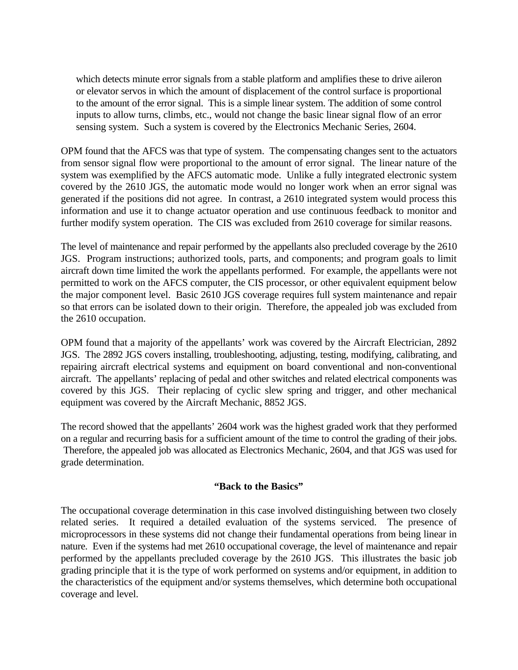which detects minute error signals from a stable platform and amplifies these to drive aileron or elevator servos in which the amount of displacement of the control surface is proportional to the amount of the error signal. This is a simple linear system. The addition of some control inputs to allow turns, climbs, etc., would not change the basic linear signal flow of an error sensing system. Such a system is covered by the Electronics Mechanic Series, 2604.

OPM found that the AFCS was that type of system. The compensating changes sent to the actuators from sensor signal flow were proportional to the amount of error signal. The linear nature of the system was exemplified by the AFCS automatic mode. Unlike a fully integrated electronic system covered by the 2610 JGS, the automatic mode would no longer work when an error signal was generated if the positions did not agree. In contrast, a 2610 integrated system would process this information and use it to change actuator operation and use continuous feedback to monitor and further modify system operation. The CIS was excluded from 2610 coverage for similar reasons.

The level of maintenance and repair performed by the appellants also precluded coverage by the 2610 JGS. Program instructions; authorized tools, parts, and components; and program goals to limit aircraft down time limited the work the appellants performed. For example, the appellants were not permitted to work on the AFCS computer, the CIS processor, or other equivalent equipment below the major component level. Basic 2610 JGS coverage requires full system maintenance and repair so that errors can be isolated down to their origin. Therefore, the appealed job was excluded from the 2610 occupation.

OPM found that a majority of the appellants' work was covered by the Aircraft Electrician, 2892 JGS. The 2892 JGS covers installing, troubleshooting, adjusting, testing, modifying, calibrating, and repairing aircraft electrical systems and equipment on board conventional and non-conventional aircraft. The appellants' replacing of pedal and other switches and related electrical components was covered by this JGS. Their replacing of cyclic slew spring and trigger, and other mechanical equipment was covered by the Aircraft Mechanic, 8852 JGS.

The record showed that the appellants' 2604 work was the highest graded work that they performed on a regular and recurring basis for a sufficient amount of the time to control the grading of their jobs. Therefore, the appealed job was allocated as Electronics Mechanic, 2604, and that JGS was used for grade determination.

## **"Back to the Basics"**

The occupational coverage determination in this case involved distinguishing between two closely related series. It required a detailed evaluation of the systems serviced. The presence of microprocessors in these systems did not change their fundamental operations from being linear in nature. Even if the systems had met 2610 occupational coverage, the level of maintenance and repair performed by the appellants precluded coverage by the 2610 JGS. This illustrates the basic job grading principle that it is the type of work performed on systems and/or equipment, in addition to the characteristics of the equipment and/or systems themselves, which determine both occupational coverage and level.